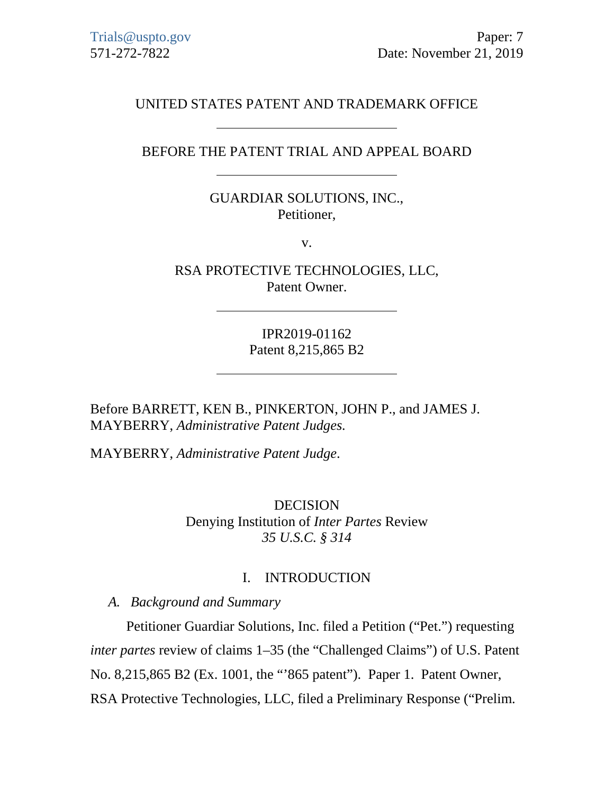# UNITED STATES PATENT AND TRADEMARK OFFICE

## BEFORE THE PATENT TRIAL AND APPEAL BOARD

## GUARDIAR SOLUTIONS, INC., Petitioner,

v.

RSA PROTECTIVE TECHNOLOGIES, LLC, Patent Owner.

> IPR2019-01162 Patent 8,215,865 B2

Before BARRETT, KEN B., PINKERTON, JOHN P., and JAMES J. MAYBERRY, *Administrative Patent Judges.*

MAYBERRY, *Administrative Patent Judge*.

DECISION Denying Institution of *Inter Partes* Review *35 U.S.C. § 314*

### I. INTRODUCTION

*A. Background and Summary*

Petitioner Guardiar Solutions, Inc. filed a Petition ("Pet.") requesting *inter partes* review of claims 1–35 (the "Challenged Claims") of U.S. Patent No. 8,215,865 B2 (Ex. 1001, the "'865 patent"). Paper 1. Patent Owner, RSA Protective Technologies, LLC, filed a Preliminary Response ("Prelim.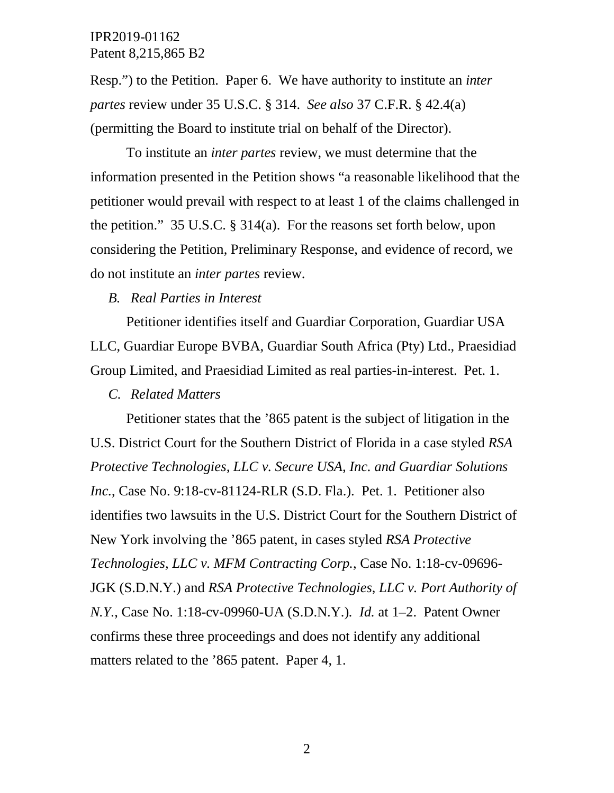Resp.") to the Petition. Paper 6. We have authority to institute an *inter partes* review under 35 U.S.C. § 314. *See also* 37 C.F.R. § 42.4(a) (permitting the Board to institute trial on behalf of the Director).

To institute an *inter partes* review, we must determine that the information presented in the Petition shows "a reasonable likelihood that the petitioner would prevail with respect to at least 1 of the claims challenged in the petition." 35 U.S.C. § 314(a). For the reasons set forth below, upon considering the Petition, Preliminary Response, and evidence of record, we do not institute an *inter partes* review.

### *B. Real Parties in Interest*

Petitioner identifies itself and Guardiar Corporation, Guardiar USA LLC, Guardiar Europe BVBA, Guardiar South Africa (Pty) Ltd., Praesidiad Group Limited, and Praesidiad Limited as real parties-in-interest. Pet. 1.

### *C. Related Matters*

Petitioner states that the '865 patent is the subject of litigation in the U.S. District Court for the Southern District of Florida in a case styled *RSA Protective Technologies, LLC v. Secure USA, Inc. and Guardiar Solutions Inc.*, Case No. 9:18-cv-81124-RLR (S.D. Fla.). Pet. 1. Petitioner also identifies two lawsuits in the U.S. District Court for the Southern District of New York involving the '865 patent, in cases styled *RSA Protective Technologies, LLC v. MFM Contracting Corp.*, Case No. 1:18-cv-09696- JGK (S.D.N.Y.) and *RSA Protective Technologies, LLC v. Port Authority of N.Y.*, Case No. 1:18-cv-09960-UA (S.D.N.Y.)*. Id.* at 1–2. Patent Owner confirms these three proceedings and does not identify any additional matters related to the '865 patent. Paper 4, 1.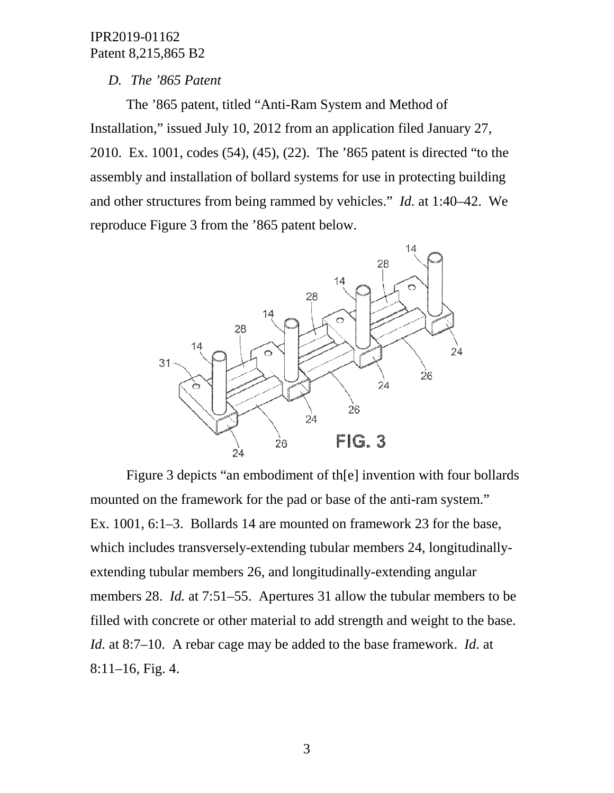## *D. The '865 Patent*

The '865 patent, titled "Anti-Ram System and Method of Installation," issued July 10, 2012 from an application filed January 27, 2010. Ex. 1001, codes (54), (45), (22). The '865 patent is directed "to the assembly and installation of bollard systems for use in protecting building and other structures from being rammed by vehicles." *Id.* at 1:40–42. We reproduce Figure 3 from the '865 patent below.



Figure 3 depicts "an embodiment of th[e] invention with four bollards mounted on the framework for the pad or base of the anti-ram system." Ex. 1001, 6:1–3. Bollards 14 are mounted on framework 23 for the base, which includes transversely-extending tubular members 24, longitudinallyextending tubular members 26, and longitudinally-extending angular members 28. *Id.* at 7:51–55. Apertures 31 allow the tubular members to be filled with concrete or other material to add strength and weight to the base. *Id.* at 8:7–10. A rebar cage may be added to the base framework. *Id.* at 8:11–16, Fig. 4.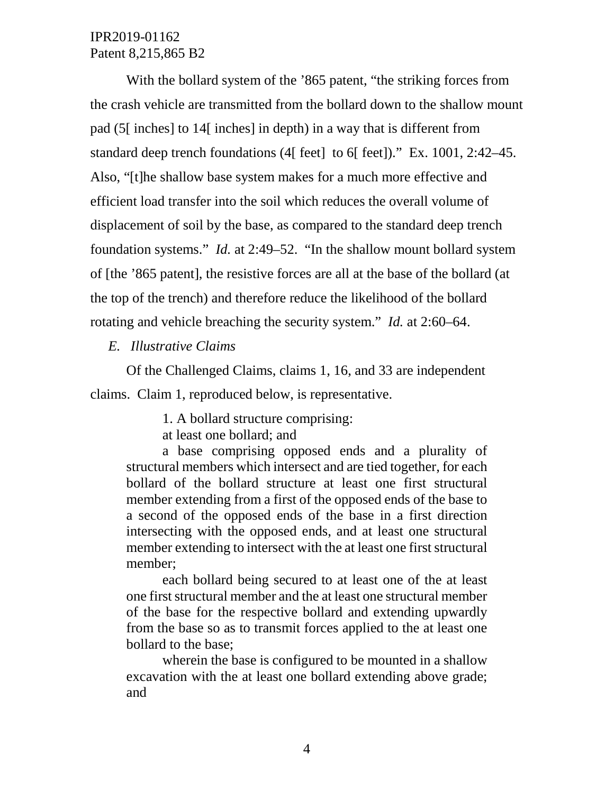With the bollard system of the '865 patent, "the striking forces from the crash vehicle are transmitted from the bollard down to the shallow mount pad (5[ inches] to 14[ inches] in depth) in a way that is different from standard deep trench foundations (4[ feet] to 6[ feet])." Ex. 1001, 2:42–45. Also, "[t]he shallow base system makes for a much more effective and efficient load transfer into the soil which reduces the overall volume of displacement of soil by the base, as compared to the standard deep trench foundation systems." *Id.* at 2:49–52. "In the shallow mount bollard system of [the '865 patent], the resistive forces are all at the base of the bollard (at the top of the trench) and therefore reduce the likelihood of the bollard rotating and vehicle breaching the security system." *Id.* at 2:60–64.

*E. Illustrative Claims*

Of the Challenged Claims, claims 1, 16, and 33 are independent claims. Claim 1, reproduced below, is representative.

1. A bollard structure comprising:

at least one bollard; and

a base comprising opposed ends and a plurality of structural members which intersect and are tied together, for each bollard of the bollard structure at least one first structural member extending from a first of the opposed ends of the base to a second of the opposed ends of the base in a first direction intersecting with the opposed ends, and at least one structural member extending to intersect with the at least one first structural member;

each bollard being secured to at least one of the at least one first structural member and the at least one structural member of the base for the respective bollard and extending upwardly from the base so as to transmit forces applied to the at least one bollard to the base;

wherein the base is configured to be mounted in a shallow excavation with the at least one bollard extending above grade; and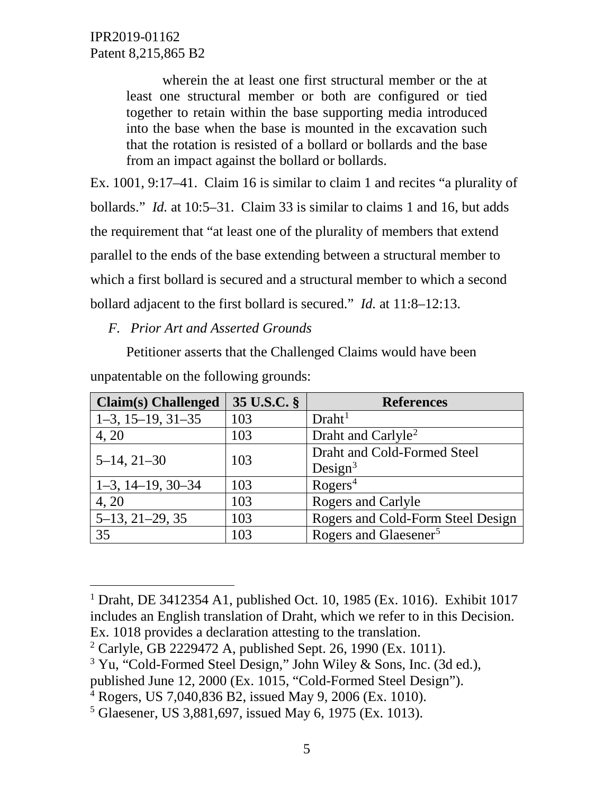> wherein the at least one first structural member or the at least one structural member or both are configured or tied together to retain within the base supporting media introduced into the base when the base is mounted in the excavation such that the rotation is resisted of a bollard or bollards and the base from an impact against the bollard or bollards.

Ex. 1001, 9:17–41. Claim 16 is similar to claim 1 and recites "a plurality of bollards." *Id.* at 10:5–31. Claim 33 is similar to claims 1 and 16, but adds the requirement that "at least one of the plurality of members that extend parallel to the ends of the base extending between a structural member to which a first bollard is secured and a structural member to which a second bollard adjacent to the first bollard is secured." *Id.* at 11:8–12:13.

*F. Prior Art and Asserted Grounds*

Petitioner asserts that the Challenged Claims would have been unpatentable on the following grounds:

| <b>Claim(s)</b> Challenged | 35 U.S.C. § | <b>References</b>                 |
|----------------------------|-------------|-----------------------------------|
| $1-3, 15-19, 31-35$        | 103         | Draht <sup>1</sup>                |
| 4, 20                      | 103         | Draht and Carlyle <sup>2</sup>    |
| $5-14, 21-30$              | 103         | Draht and Cold-Formed Steel       |
|                            |             | Design <sup>3</sup>               |
| $1-3, 14-19, 30-34$        | 103         | Rogers <sup>4</sup>               |
| 4, 20                      | 103         | Rogers and Carlyle                |
| $5-13, 21-29, 35$          | 103         | Rogers and Cold-Form Steel Design |
| 35                         | 103         | Rogers and Glaesener <sup>5</sup> |

<span id="page-4-0"></span> <sup>1</sup> Draht, DE 3412354 A1, published Oct. 10, 1985 (Ex. 1016). Exhibit 1017 includes an English translation of Draht, which we refer to in this Decision. Ex. 1018 provides a declaration attesting to the translation.

<span id="page-4-1"></span><sup>2</sup> Carlyle, GB 2229472 A, published Sept. 26, 1990 (Ex. 1011).

<span id="page-4-2"></span><sup>3</sup> Yu, "Cold-Formed Steel Design," John Wiley & Sons, Inc. (3d ed.),

published June 12, 2000 (Ex. 1015, "Cold-Formed Steel Design").

<span id="page-4-3"></span> $4 \text{ Rogers}$ , US 7,040,836 B2, issued May 9, 2006 (Ex. 1010).

<span id="page-4-4"></span><sup>5</sup> Glaesener, US 3,881,697, issued May 6, 1975 (Ex. 1013).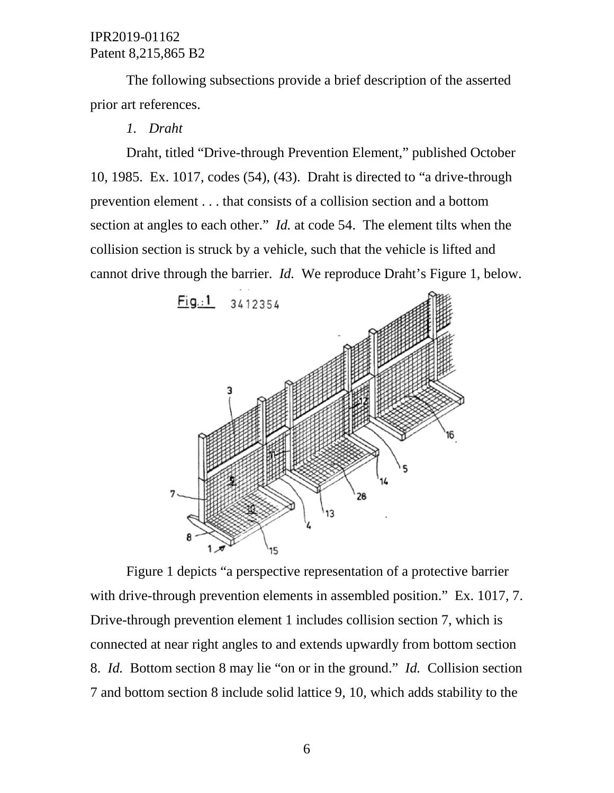The following subsections provide a brief description of the asserted prior art references.

*1. Draht*

Draht, titled "Drive-through Prevention Element," published October 10, 1985. Ex. 1017, codes (54), (43). Draht is directed to "a drive-through prevention element . . . that consists of a collision section and a bottom section at angles to each other." *Id.* at code 54. The element tilts when the collision section is struck by a vehicle, such that the vehicle is lifted and cannot drive through the barrier. *Id.* We reproduce Draht's Figure 1, below.



Figure 1 depicts "a perspective representation of a protective barrier with drive-through prevention elements in assembled position." Ex. 1017, 7. Drive-through prevention element 1 includes collision section 7, which is connected at near right angles to and extends upwardly from bottom section 8. *Id.* Bottom section 8 may lie "on or in the ground." *Id.* Collision section 7 and bottom section 8 include solid lattice 9, 10, which adds stability to the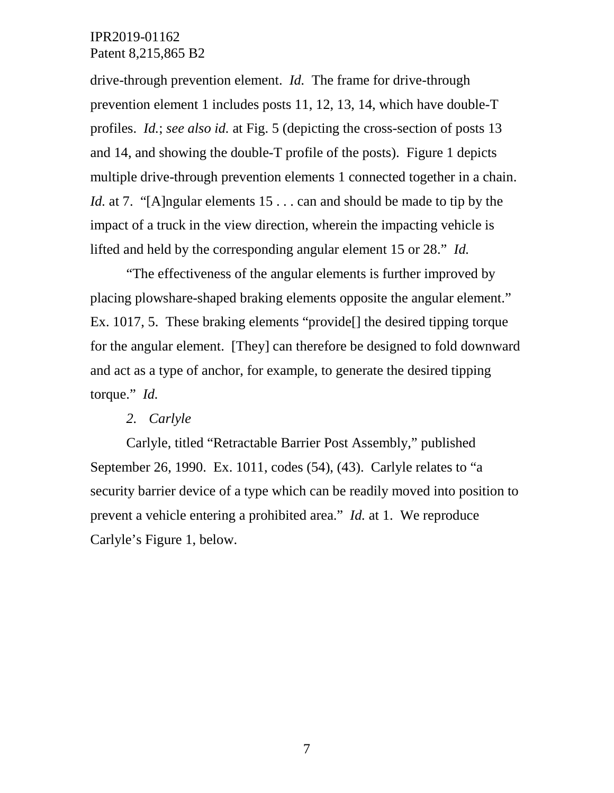drive-through prevention element. *Id.* The frame for drive-through prevention element 1 includes posts 11, 12, 13, 14, which have double-T profiles. *Id.*; *see also id.* at Fig. 5 (depicting the cross-section of posts 13 and 14, and showing the double-T profile of the posts). Figure 1 depicts multiple drive-through prevention elements 1 connected together in a chain. *Id.* at 7. "[A]ngular elements 15 . . . can and should be made to tip by the impact of a truck in the view direction, wherein the impacting vehicle is lifted and held by the corresponding angular element 15 or 28." *Id.*

"The effectiveness of the angular elements is further improved by placing plowshare-shaped braking elements opposite the angular element." Ex. 1017, 5. These braking elements "provide[] the desired tipping torque for the angular element. [They] can therefore be designed to fold downward and act as a type of anchor, for example, to generate the desired tipping torque." *Id.*

### *2. Carlyle*

Carlyle, titled "Retractable Barrier Post Assembly," published September 26, 1990. Ex. 1011, codes (54), (43). Carlyle relates to "a security barrier device of a type which can be readily moved into position to prevent a vehicle entering a prohibited area." *Id.* at 1. We reproduce Carlyle's Figure 1, below.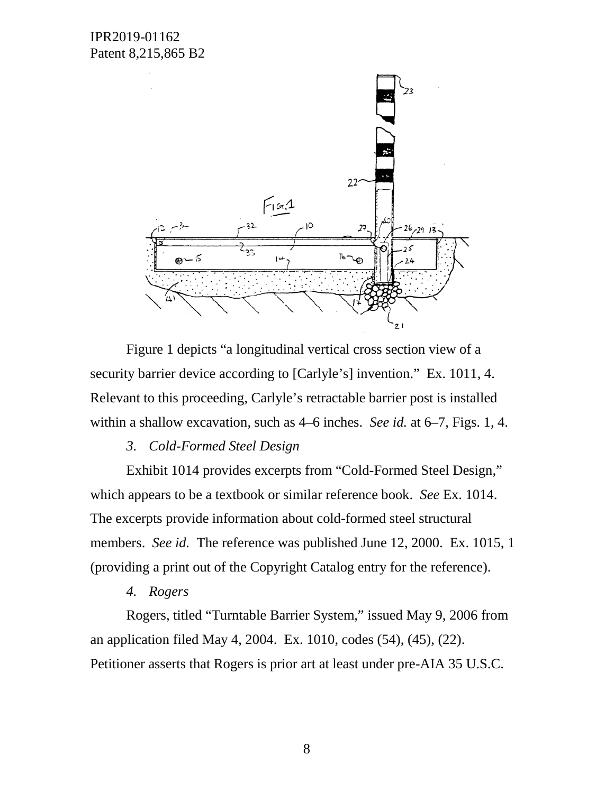IPR2019-01162 Patent 8,215,865 B2



Figure 1 depicts "a longitudinal vertical cross section view of a security barrier device according to [Carlyle's] invention." Ex. 1011, 4. Relevant to this proceeding, Carlyle's retractable barrier post is installed within a shallow excavation, such as 4–6 inches. *See id.* at 6–7, Figs. 1, 4.

### *3. Cold-Formed Steel Design*

Exhibit 1014 provides excerpts from "Cold-Formed Steel Design," which appears to be a textbook or similar reference book. *See* Ex. 1014. The excerpts provide information about cold-formed steel structural members. *See id.* The reference was published June 12, 2000. Ex. 1015, 1 (providing a print out of the Copyright Catalog entry for the reference).

### *4. Rogers*

Rogers, titled "Turntable Barrier System," issued May 9, 2006 from an application filed May 4, 2004. Ex. 1010, codes (54), (45), (22). Petitioner asserts that Rogers is prior art at least under pre-AIA 35 U.S.C.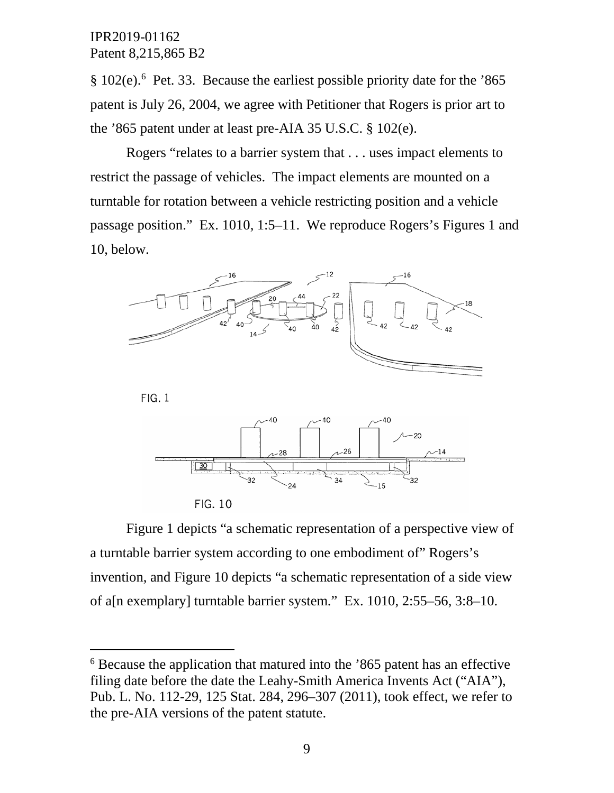§ 102(e).<sup>[6](#page-8-0)</sup> Pet. 33. Because the earliest possible priority date for the '865 patent is July 26, 2004, we agree with Petitioner that Rogers is prior art to the '865 patent under at least pre-AIA 35 U.S.C. § 102(e).

Rogers "relates to a barrier system that . . . uses impact elements to restrict the passage of vehicles. The impact elements are mounted on a turntable for rotation between a vehicle restricting position and a vehicle passage position." Ex. 1010, 1:5–11. We reproduce Rogers's Figures 1 and 10, below.



 $FIG. 1$ 





Figure 1 depicts "a schematic representation of a perspective view of a turntable barrier system according to one embodiment of" Rogers's invention, and Figure 10 depicts "a schematic representation of a side view of a[n exemplary] turntable barrier system." Ex. 1010, 2:55–56, 3:8–10.

<span id="page-8-0"></span> <sup>6</sup> Because the application that matured into the '865 patent has an effective filing date before the date the Leahy-Smith America Invents Act ("AIA"), Pub. L. No. 112-29, 125 Stat. 284, 296–307 (2011), took effect, we refer to the pre-AIA versions of the patent statute.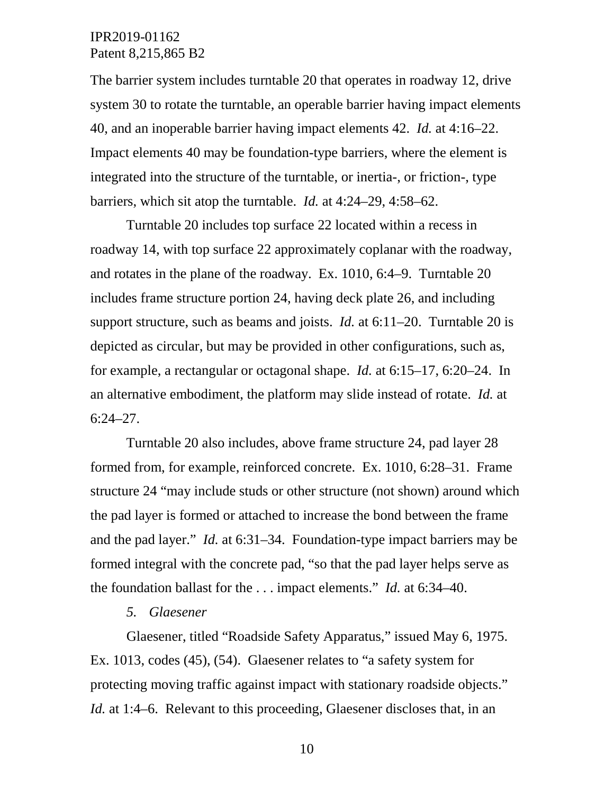The barrier system includes turntable 20 that operates in roadway 12, drive system 30 to rotate the turntable, an operable barrier having impact elements 40, and an inoperable barrier having impact elements 42. *Id.* at 4:16–22. Impact elements 40 may be foundation-type barriers, where the element is integrated into the structure of the turntable, or inertia-, or friction-, type barriers, which sit atop the turntable. *Id.* at 4:24–29, 4:58–62.

Turntable 20 includes top surface 22 located within a recess in roadway 14, with top surface 22 approximately coplanar with the roadway, and rotates in the plane of the roadway. Ex. 1010, 6:4–9. Turntable 20 includes frame structure portion 24, having deck plate 26, and including support structure, such as beams and joists. *Id.* at 6:11–20. Turntable 20 is depicted as circular, but may be provided in other configurations, such as, for example, a rectangular or octagonal shape. *Id.* at 6:15–17, 6:20–24. In an alternative embodiment, the platform may slide instead of rotate. *Id.* at  $6:24 - 27$ .

Turntable 20 also includes, above frame structure 24, pad layer 28 formed from, for example, reinforced concrete. Ex. 1010, 6:28–31. Frame structure 24 "may include studs or other structure (not shown) around which the pad layer is formed or attached to increase the bond between the frame and the pad layer." *Id.* at 6:31–34. Foundation-type impact barriers may be formed integral with the concrete pad, "so that the pad layer helps serve as the foundation ballast for the . . . impact elements." *Id.* at 6:34–40.

### *5. Glaesener*

Glaesener, titled "Roadside Safety Apparatus," issued May 6, 1975. Ex. 1013, codes (45), (54). Glaesener relates to "a safety system for protecting moving traffic against impact with stationary roadside objects." *Id.* at 1:4–6. Relevant to this proceeding, Glaesener discloses that, in an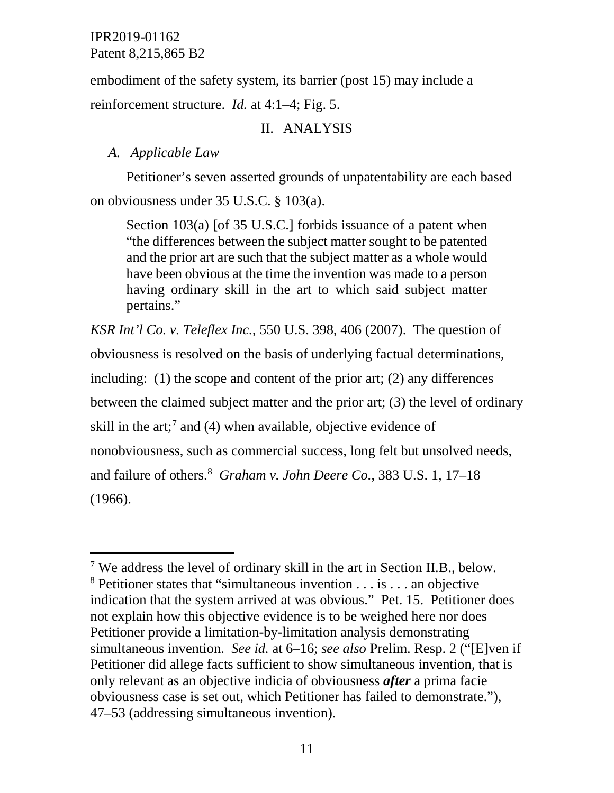embodiment of the safety system, its barrier (post 15) may include a reinforcement structure. *Id.* at 4:1–4; Fig. 5.

# II. ANALYSIS

# *A. Applicable Law*

Petitioner's seven asserted grounds of unpatentability are each based on obviousness under 35 U.S.C. § 103(a).

Section 103(a) [of 35 U.S.C.] forbids issuance of a patent when "the differences between the subject matter sought to be patented and the prior art are such that the subject matter as a whole would have been obvious at the time the invention was made to a person having ordinary skill in the art to which said subject matter pertains."

*KSR Int'l Co. v. Teleflex Inc.*, 550 U.S. 398, 406 (2007). The question of obviousness is resolved on the basis of underlying factual determinations, including: (1) the scope and content of the prior art; (2) any differences between the claimed subject matter and the prior art; (3) the level of ordinary skill in the art;<sup>[7](#page-10-0)</sup> and (4) when available, objective evidence of nonobviousness, such as commercial success, long felt but unsolved needs, and failure of others.[8](#page-10-1) *Graham v. John Deere Co.*, 383 U.S. 1, 17–18 (1966).

<span id="page-10-1"></span><span id="page-10-0"></span> <sup>7</sup> We address the level of ordinary skill in the art in Section II.B., below. <sup>8</sup> Petitioner states that "simultaneous invention  $\dots$  is  $\dots$  an objective indication that the system arrived at was obvious." Pet. 15. Petitioner does not explain how this objective evidence is to be weighed here nor does Petitioner provide a limitation-by-limitation analysis demonstrating simultaneous invention. *See id.* at 6–16; *see also* Prelim. Resp. 2 ("[E]ven if Petitioner did allege facts sufficient to show simultaneous invention, that is only relevant as an objective indicia of obviousness *after* a prima facie obviousness case is set out, which Petitioner has failed to demonstrate."), 47–53 (addressing simultaneous invention).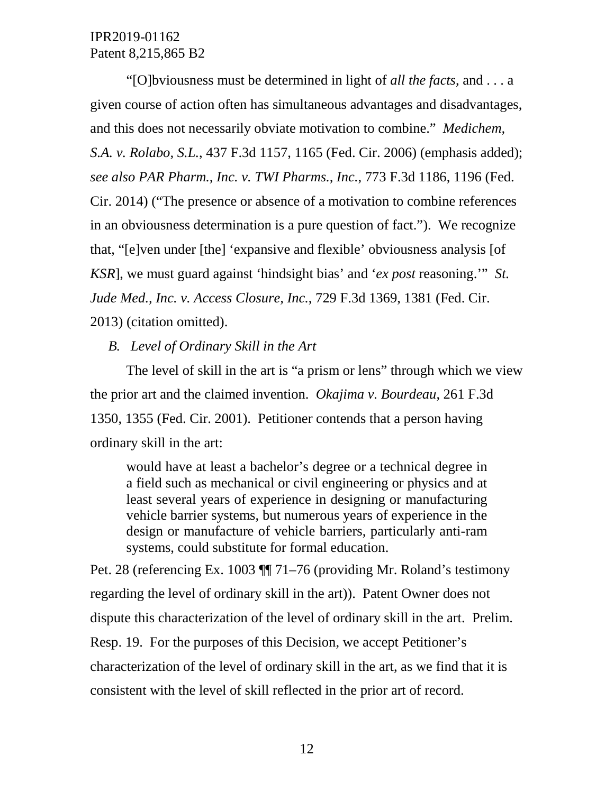"[O]bviousness must be determined in light of *all the facts*, and . . . a given course of action often has simultaneous advantages and disadvantages, and this does not necessarily obviate motivation to combine." *Medichem, S.A. v. Rolabo, S.L.*, 437 F.3d 1157, 1165 (Fed. Cir. 2006) (emphasis added); *see also PAR Pharm., Inc. v. TWI Pharms., Inc.*, 773 F.3d 1186, 1196 (Fed. Cir. 2014) ("The presence or absence of a motivation to combine references in an obviousness determination is a pure question of fact."). We recognize that, "[e]ven under [the] 'expansive and flexible' obviousness analysis [of *KSR*], we must guard against 'hindsight bias' and '*ex post* reasoning.'" *St. Jude Med., Inc. v. Access Closure, Inc.*, 729 F.3d 1369, 1381 (Fed. Cir. 2013) (citation omitted).

*B. Level of Ordinary Skill in the Art*

The level of skill in the art is "a prism or lens" through which we view the prior art and the claimed invention. *Okajima v. Bourdeau*, 261 F.3d 1350, 1355 (Fed. Cir. 2001). Petitioner contends that a person having ordinary skill in the art:

would have at least a bachelor's degree or a technical degree in a field such as mechanical or civil engineering or physics and at least several years of experience in designing or manufacturing vehicle barrier systems, but numerous years of experience in the design or manufacture of vehicle barriers, particularly anti-ram systems, could substitute for formal education.

Pet. 28 (referencing Ex. 1003 ¶¶ 71–76 (providing Mr. Roland's testimony regarding the level of ordinary skill in the art)). Patent Owner does not dispute this characterization of the level of ordinary skill in the art. Prelim. Resp. 19. For the purposes of this Decision, we accept Petitioner's characterization of the level of ordinary skill in the art, as we find that it is consistent with the level of skill reflected in the prior art of record.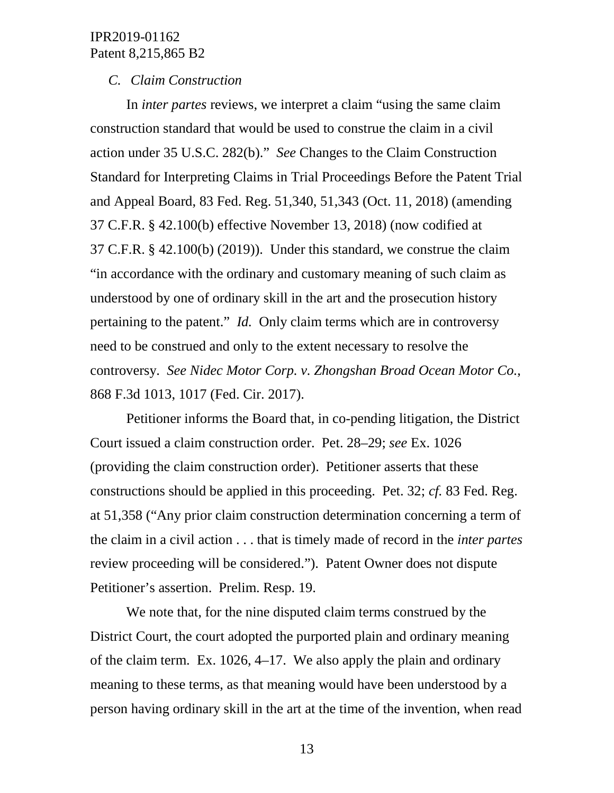### *C. Claim Construction*

In *inter partes* reviews, we interpret a claim "using the same claim construction standard that would be used to construe the claim in a civil action under 35 U.S.C. 282(b)." *See* Changes to the Claim Construction Standard for Interpreting Claims in Trial Proceedings Before the Patent Trial and Appeal Board, 83 Fed. Reg. 51,340, 51,343 (Oct. 11, 2018) (amending 37 C.F.R. § 42.100(b) effective November 13, 2018) (now codified at 37 C.F.R. § 42.100(b) (2019)). Under this standard, we construe the claim "in accordance with the ordinary and customary meaning of such claim as understood by one of ordinary skill in the art and the prosecution history pertaining to the patent." *Id.* Only claim terms which are in controversy need to be construed and only to the extent necessary to resolve the controversy. *See Nidec Motor Corp. v. Zhongshan Broad Ocean Motor Co.*, 868 F.3d 1013, 1017 (Fed. Cir. 2017).

Petitioner informs the Board that, in co-pending litigation, the District Court issued a claim construction order. Pet. 28–29; *see* Ex. 1026 (providing the claim construction order). Petitioner asserts that these constructions should be applied in this proceeding. Pet. 32; *cf.* 83 Fed. Reg. at 51,358 ("Any prior claim construction determination concerning a term of the claim in a civil action . . . that is timely made of record in the *inter partes* review proceeding will be considered."). Patent Owner does not dispute Petitioner's assertion. Prelim. Resp. 19.

We note that, for the nine disputed claim terms construed by the District Court, the court adopted the purported plain and ordinary meaning of the claim term. Ex. 1026, 4–17. We also apply the plain and ordinary meaning to these terms, as that meaning would have been understood by a person having ordinary skill in the art at the time of the invention, when read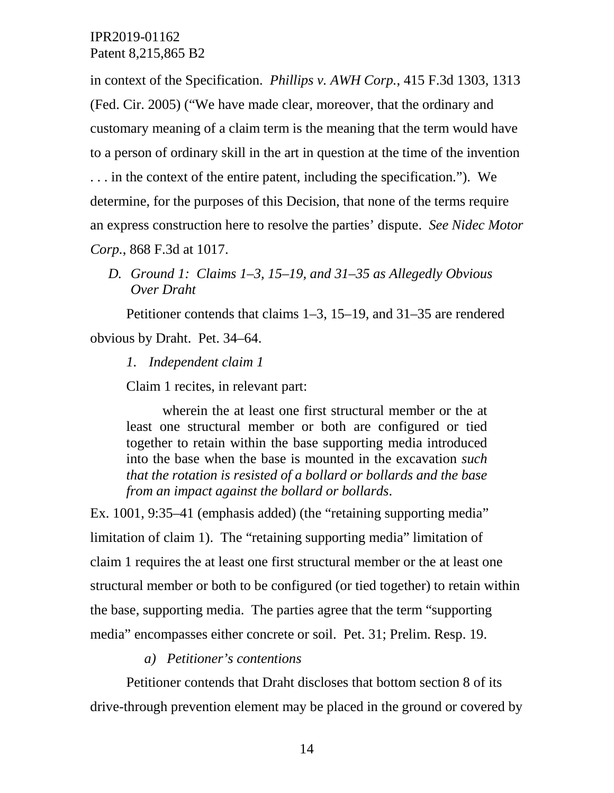in context of the Specification. *Phillips v. AWH Corp.*, 415 F.3d 1303, 1313 (Fed. Cir. 2005) ("We have made clear, moreover, that the ordinary and customary meaning of a claim term is the meaning that the term would have to a person of ordinary skill in the art in question at the time of the invention . . . in the context of the entire patent, including the specification."). We determine, for the purposes of this Decision, that none of the terms require an express construction here to resolve the parties' dispute. *See Nidec Motor Corp.*, 868 F.3d at 1017.

*D. Ground 1: Claims 1–3, 15–19, and 31–35 as Allegedly Obvious Over Draht*

Petitioner contends that claims 1–3, 15–19, and 31–35 are rendered obvious by Draht. Pet. 34–64.

*1. Independent claim 1*

Claim 1 recites, in relevant part:

wherein the at least one first structural member or the at least one structural member or both are configured or tied together to retain within the base supporting media introduced into the base when the base is mounted in the excavation *such that the rotation is resisted of a bollard or bollards and the base from an impact against the bollard or bollards*.

Ex. 1001, 9:35–41 (emphasis added) (the "retaining supporting media" limitation of claim 1). The "retaining supporting media" limitation of claim 1 requires the at least one first structural member or the at least one structural member or both to be configured (or tied together) to retain within the base, supporting media. The parties agree that the term "supporting media" encompasses either concrete or soil. Pet. 31; Prelim. Resp. 19.

### *a) Petitioner's contentions*

Petitioner contends that Draht discloses that bottom section 8 of its drive-through prevention element may be placed in the ground or covered by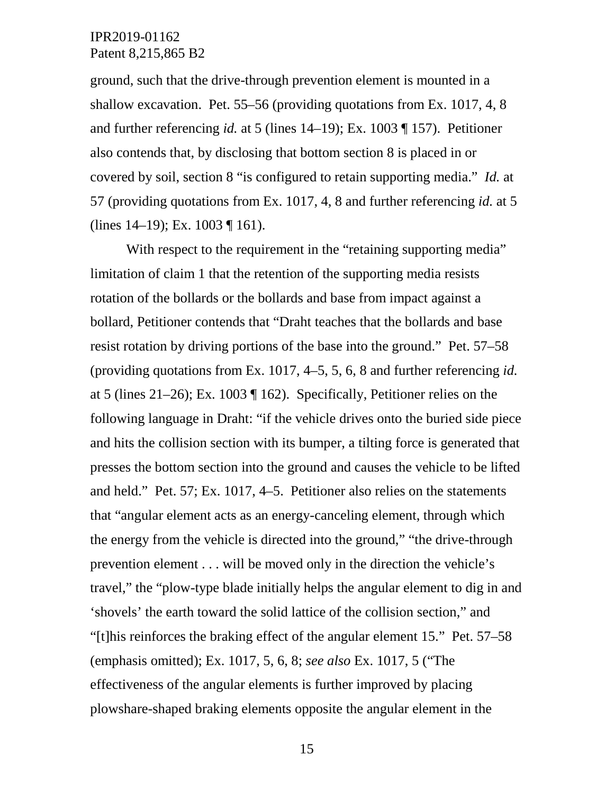ground, such that the drive-through prevention element is mounted in a shallow excavation. Pet. 55–56 (providing quotations from Ex. 1017, 4, 8 and further referencing *id.* at 5 (lines 14–19); Ex. 1003 ¶ 157). Petitioner also contends that, by disclosing that bottom section 8 is placed in or covered by soil, section 8 "is configured to retain supporting media." *Id.* at 57 (providing quotations from Ex. 1017, 4, 8 and further referencing *id.* at 5 (lines 14–19); Ex. 1003 ¶ 161).

With respect to the requirement in the "retaining supporting media" limitation of claim 1 that the retention of the supporting media resists rotation of the bollards or the bollards and base from impact against a bollard, Petitioner contends that "Draht teaches that the bollards and base resist rotation by driving portions of the base into the ground." Pet. 57–58 (providing quotations from Ex. 1017, 4–5, 5, 6, 8 and further referencing *id.* at 5 (lines 21–26); Ex. 1003 ¶ 162). Specifically, Petitioner relies on the following language in Draht: "if the vehicle drives onto the buried side piece and hits the collision section with its bumper, a tilting force is generated that presses the bottom section into the ground and causes the vehicle to be lifted and held." Pet. 57; Ex. 1017, 4–5. Petitioner also relies on the statements that "angular element acts as an energy-canceling element, through which the energy from the vehicle is directed into the ground," "the drive-through prevention element . . . will be moved only in the direction the vehicle's travel," the "plow-type blade initially helps the angular element to dig in and 'shovels' the earth toward the solid lattice of the collision section," and "[t]his reinforces the braking effect of the angular element 15." Pet. 57–58 (emphasis omitted); Ex. 1017, 5, 6, 8; *see also* Ex. 1017, 5 ("The effectiveness of the angular elements is further improved by placing plowshare-shaped braking elements opposite the angular element in the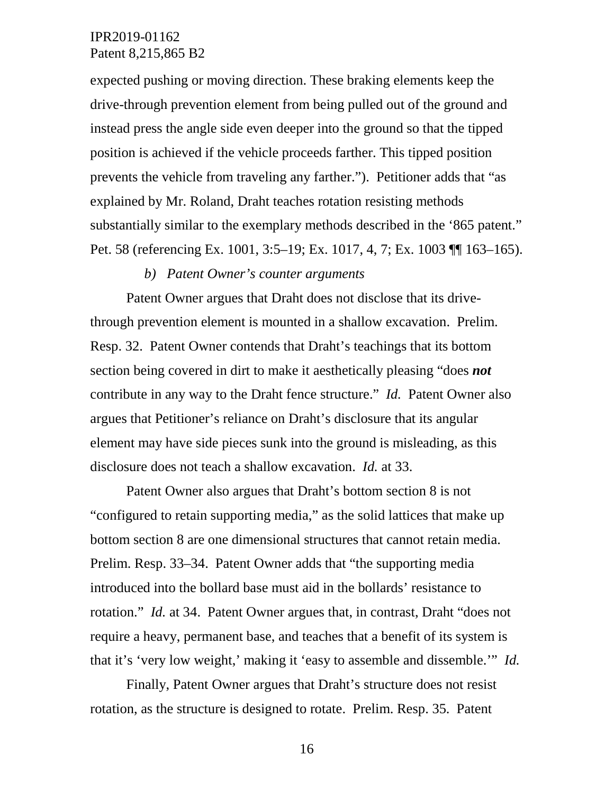expected pushing or moving direction. These braking elements keep the drive-through prevention element from being pulled out of the ground and instead press the angle side even deeper into the ground so that the tipped position is achieved if the vehicle proceeds farther. This tipped position prevents the vehicle from traveling any farther."). Petitioner adds that "as explained by Mr. Roland, Draht teaches rotation resisting methods substantially similar to the exemplary methods described in the '865 patent." Pet. 58 (referencing Ex. 1001, 3:5–19; Ex. 1017, 4, 7; Ex. 1003 ¶¶ 163–165).

#### *b) Patent Owner's counter arguments*

Patent Owner argues that Draht does not disclose that its drivethrough prevention element is mounted in a shallow excavation. Prelim. Resp. 32. Patent Owner contends that Draht's teachings that its bottom section being covered in dirt to make it aesthetically pleasing "does *not* contribute in any way to the Draht fence structure." *Id.* Patent Owner also argues that Petitioner's reliance on Draht's disclosure that its angular element may have side pieces sunk into the ground is misleading, as this disclosure does not teach a shallow excavation. *Id.* at 33.

Patent Owner also argues that Draht's bottom section 8 is not "configured to retain supporting media," as the solid lattices that make up bottom section 8 are one dimensional structures that cannot retain media. Prelim. Resp. 33–34. Patent Owner adds that "the supporting media introduced into the bollard base must aid in the bollards' resistance to rotation." *Id.* at 34. Patent Owner argues that, in contrast, Draht "does not require a heavy, permanent base, and teaches that a benefit of its system is that it's 'very low weight,' making it 'easy to assemble and dissemble.'" *Id.*

Finally, Patent Owner argues that Draht's structure does not resist rotation, as the structure is designed to rotate. Prelim. Resp. 35. Patent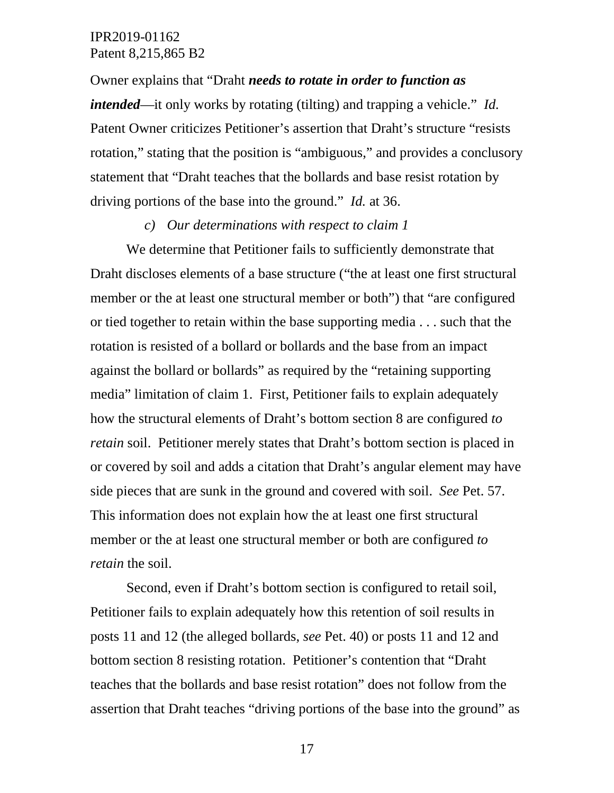Owner explains that "Draht *needs to rotate in order to function as intended*—it only works by rotating (tilting) and trapping a vehicle." *Id.* Patent Owner criticizes Petitioner's assertion that Draht's structure "resists rotation," stating that the position is "ambiguous," and provides a conclusory statement that "Draht teaches that the bollards and base resist rotation by driving portions of the base into the ground." *Id.* at 36.

#### *c) Our determinations with respect to claim 1*

We determine that Petitioner fails to sufficiently demonstrate that Draht discloses elements of a base structure ("the at least one first structural member or the at least one structural member or both") that "are configured or tied together to retain within the base supporting media . . . such that the rotation is resisted of a bollard or bollards and the base from an impact against the bollard or bollards" as required by the "retaining supporting media" limitation of claim 1. First, Petitioner fails to explain adequately how the structural elements of Draht's bottom section 8 are configured *to retain* soil. Petitioner merely states that Draht's bottom section is placed in or covered by soil and adds a citation that Draht's angular element may have side pieces that are sunk in the ground and covered with soil. *See* Pet. 57. This information does not explain how the at least one first structural member or the at least one structural member or both are configured *to retain* the soil.

Second, even if Draht's bottom section is configured to retail soil, Petitioner fails to explain adequately how this retention of soil results in posts 11 and 12 (the alleged bollards, *see* Pet. 40) or posts 11 and 12 and bottom section 8 resisting rotation. Petitioner's contention that "Draht teaches that the bollards and base resist rotation" does not follow from the assertion that Draht teaches "driving portions of the base into the ground" as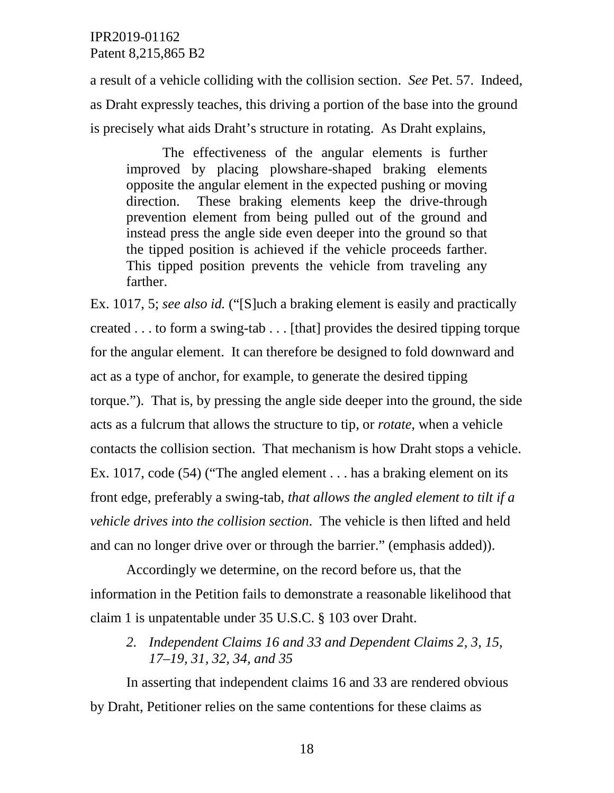a result of a vehicle colliding with the collision section. *See* Pet. 57. Indeed, as Draht expressly teaches, this driving a portion of the base into the ground is precisely what aids Draht's structure in rotating. As Draht explains,

The effectiveness of the angular elements is further improved by placing plowshare-shaped braking elements opposite the angular element in the expected pushing or moving direction. These braking elements keep the drive-through prevention element from being pulled out of the ground and instead press the angle side even deeper into the ground so that the tipped position is achieved if the vehicle proceeds farther. This tipped position prevents the vehicle from traveling any farther.

Ex. 1017, 5; *see also id.* ("[S]uch a braking element is easily and practically created . . . to form a swing-tab . . . [that] provides the desired tipping torque for the angular element. It can therefore be designed to fold downward and act as a type of anchor, for example, to generate the desired tipping torque."). That is, by pressing the angle side deeper into the ground, the side acts as a fulcrum that allows the structure to tip, or *rotate*, when a vehicle contacts the collision section. That mechanism is how Draht stops a vehicle. Ex. 1017, code (54) ("The angled element . . . has a braking element on its front edge, preferably a swing-tab, *that allows the angled element to tilt if a vehicle drives into the collision section*. The vehicle is then lifted and held and can no longer drive over or through the barrier." (emphasis added)).

Accordingly we determine, on the record before us, that the information in the Petition fails to demonstrate a reasonable likelihood that claim 1 is unpatentable under 35 U.S.C. § 103 over Draht.

*2. Independent Claims 16 and 33 and Dependent Claims 2, 3, 15, 17–19, 31, 32, 34, and 35* 

In asserting that independent claims 16 and 33 are rendered obvious by Draht, Petitioner relies on the same contentions for these claims as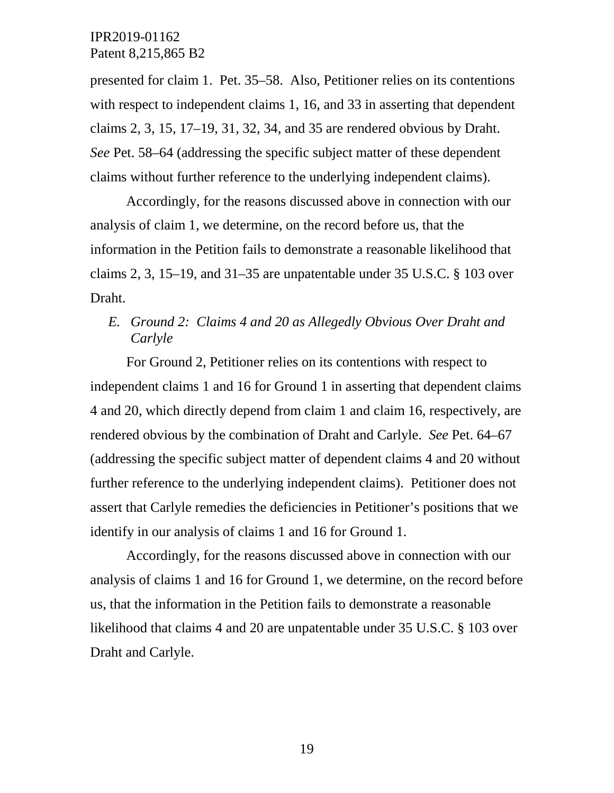presented for claim 1. Pet. 35–58. Also, Petitioner relies on its contentions with respect to independent claims 1, 16, and 33 in asserting that dependent claims 2, 3, 15, 17–19, 31, 32, 34, and 35 are rendered obvious by Draht. *See* Pet. 58–64 (addressing the specific subject matter of these dependent claims without further reference to the underlying independent claims).

Accordingly, for the reasons discussed above in connection with our analysis of claim 1, we determine, on the record before us, that the information in the Petition fails to demonstrate a reasonable likelihood that claims 2, 3, 15–19, and 31–35 are unpatentable under 35 U.S.C. § 103 over Draht.

# *E. Ground 2: Claims 4 and 20 as Allegedly Obvious Over Draht and Carlyle*

For Ground 2, Petitioner relies on its contentions with respect to independent claims 1 and 16 for Ground 1 in asserting that dependent claims 4 and 20, which directly depend from claim 1 and claim 16, respectively, are rendered obvious by the combination of Draht and Carlyle. *See* Pet. 64–67 (addressing the specific subject matter of dependent claims 4 and 20 without further reference to the underlying independent claims). Petitioner does not assert that Carlyle remedies the deficiencies in Petitioner's positions that we identify in our analysis of claims 1 and 16 for Ground 1.

Accordingly, for the reasons discussed above in connection with our analysis of claims 1 and 16 for Ground 1, we determine, on the record before us, that the information in the Petition fails to demonstrate a reasonable likelihood that claims 4 and 20 are unpatentable under 35 U.S.C. § 103 over Draht and Carlyle.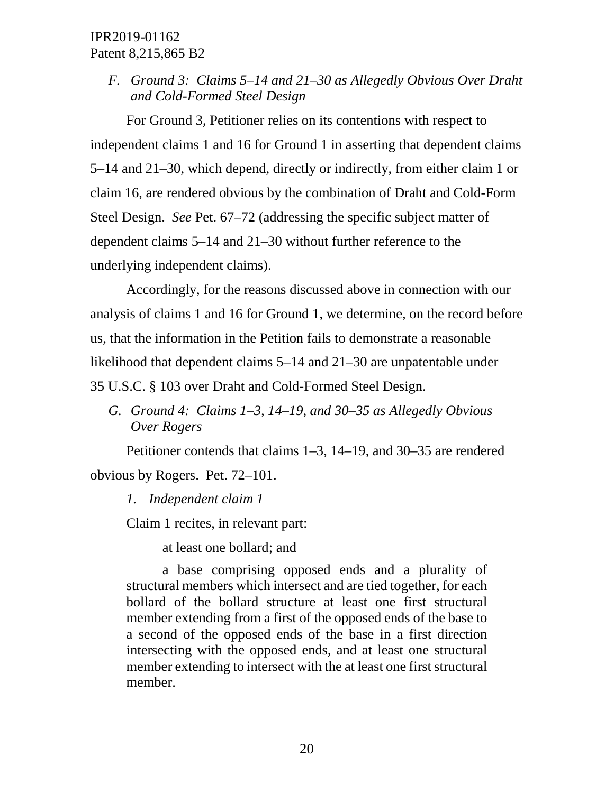*F. Ground 3: Claims 5–14 and 21–30 as Allegedly Obvious Over Draht and Cold-Formed Steel Design*

For Ground 3, Petitioner relies on its contentions with respect to independent claims 1 and 16 for Ground 1 in asserting that dependent claims 5–14 and 21–30, which depend, directly or indirectly, from either claim 1 or claim 16, are rendered obvious by the combination of Draht and Cold-Form Steel Design. *See* Pet. 67–72 (addressing the specific subject matter of dependent claims 5–14 and 21–30 without further reference to the underlying independent claims).

Accordingly, for the reasons discussed above in connection with our analysis of claims 1 and 16 for Ground 1, we determine, on the record before us, that the information in the Petition fails to demonstrate a reasonable likelihood that dependent claims 5–14 and 21–30 are unpatentable under 35 U.S.C. § 103 over Draht and Cold-Formed Steel Design.

*G. Ground 4: Claims 1–3, 14–19, and 30–35 as Allegedly Obvious Over Rogers*

Petitioner contends that claims 1–3, 14–19, and 30–35 are rendered obvious by Rogers. Pet. 72–101.

*1. Independent claim 1*

Claim 1 recites, in relevant part:

at least one bollard; and

a base comprising opposed ends and a plurality of structural members which intersect and are tied together, for each bollard of the bollard structure at least one first structural member extending from a first of the opposed ends of the base to a second of the opposed ends of the base in a first direction intersecting with the opposed ends, and at least one structural member extending to intersect with the at least one first structural member.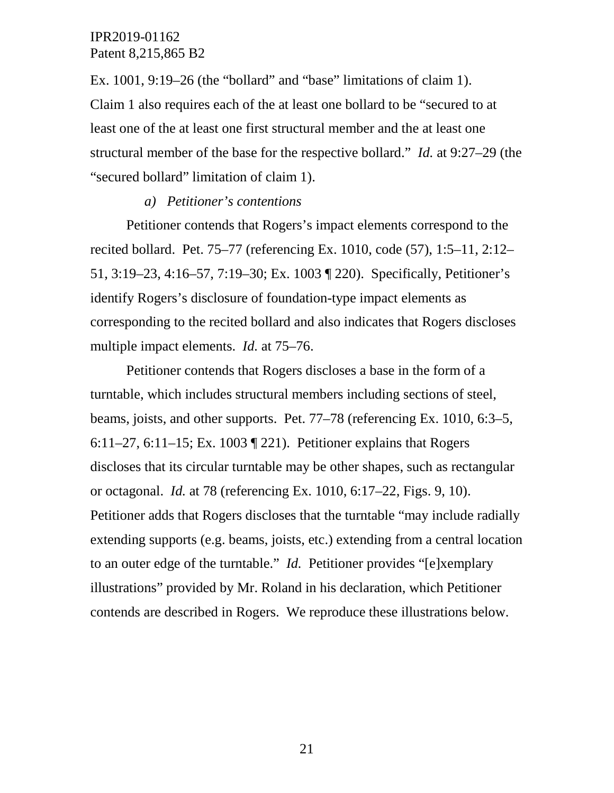Ex. 1001, 9:19–26 (the "bollard" and "base" limitations of claim 1). Claim 1 also requires each of the at least one bollard to be "secured to at least one of the at least one first structural member and the at least one structural member of the base for the respective bollard." *Id.* at 9:27–29 (the "secured bollard" limitation of claim 1).

#### *a) Petitioner's contentions*

Petitioner contends that Rogers's impact elements correspond to the recited bollard. Pet. 75–77 (referencing Ex. 1010, code (57), 1:5–11, 2:12– 51, 3:19–23, 4:16–57, 7:19–30; Ex. 1003 ¶ 220). Specifically, Petitioner's identify Rogers's disclosure of foundation-type impact elements as corresponding to the recited bollard and also indicates that Rogers discloses multiple impact elements. *Id.* at 75–76.

Petitioner contends that Rogers discloses a base in the form of a turntable, which includes structural members including sections of steel, beams, joists, and other supports. Pet. 77–78 (referencing Ex. 1010, 6:3–5, 6:11–27, 6:11–15; Ex. 1003 ¶ 221). Petitioner explains that Rogers discloses that its circular turntable may be other shapes, such as rectangular or octagonal. *Id.* at 78 (referencing Ex. 1010, 6:17–22, Figs. 9, 10). Petitioner adds that Rogers discloses that the turntable "may include radially extending supports (e.g. beams, joists, etc.) extending from a central location to an outer edge of the turntable." *Id.* Petitioner provides "[e]xemplary illustrations" provided by Mr. Roland in his declaration, which Petitioner contends are described in Rogers. We reproduce these illustrations below.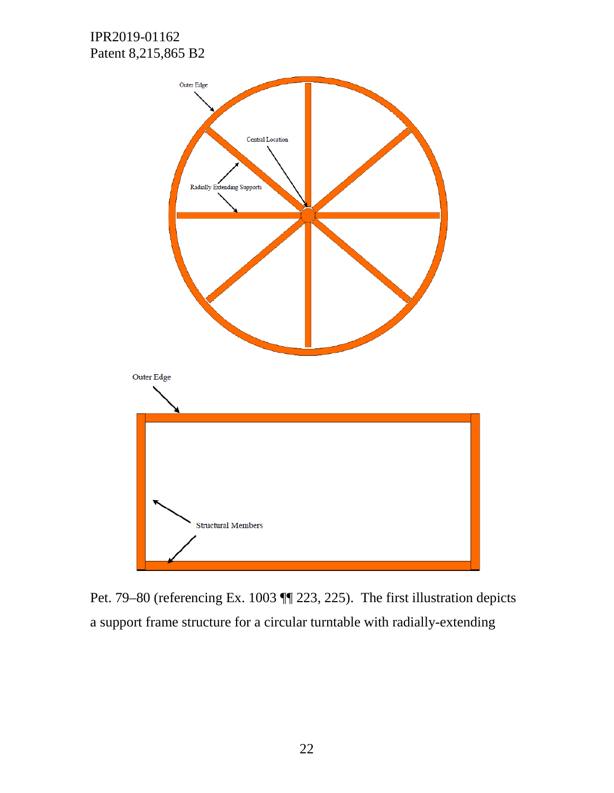

Pet. 79–80 (referencing Ex. 1003 ¶¶ 223, 225). The first illustration depicts a support frame structure for a circular turntable with radially-extending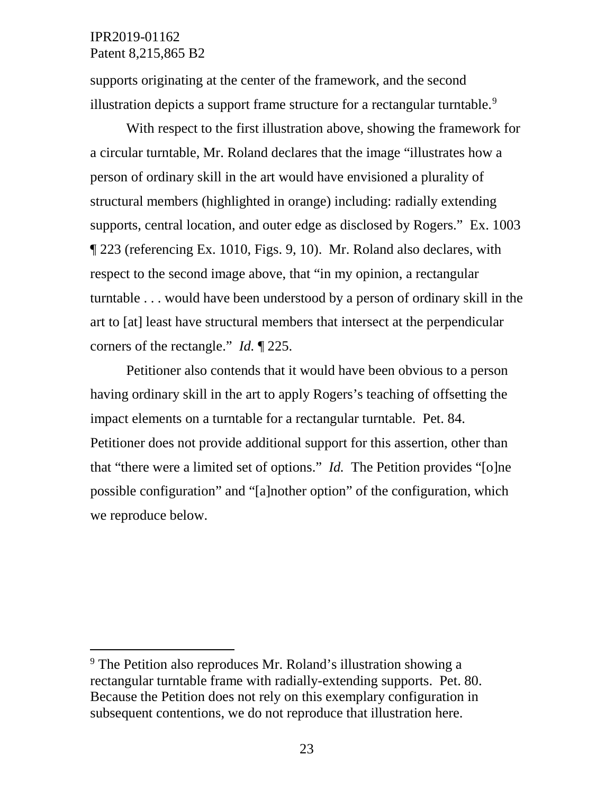supports originating at the center of the framework, and the second illustration depicts a support frame structure for a rectangular turntable.<sup>[9](#page-22-0)</sup>

With respect to the first illustration above, showing the framework for a circular turntable, Mr. Roland declares that the image "illustrates how a person of ordinary skill in the art would have envisioned a plurality of structural members (highlighted in orange) including: radially extending supports, central location, and outer edge as disclosed by Rogers." Ex. 1003 ¶ 223 (referencing Ex. 1010, Figs. 9, 10). Mr. Roland also declares, with respect to the second image above, that "in my opinion, a rectangular turntable . . . would have been understood by a person of ordinary skill in the art to [at] least have structural members that intersect at the perpendicular corners of the rectangle." *Id.* ¶ 225.

Petitioner also contends that it would have been obvious to a person having ordinary skill in the art to apply Rogers's teaching of offsetting the impact elements on a turntable for a rectangular turntable. Pet. 84. Petitioner does not provide additional support for this assertion, other than that "there were a limited set of options." *Id.* The Petition provides "[o]ne possible configuration" and "[a]nother option" of the configuration, which we reproduce below.

<span id="page-22-0"></span> <sup>9</sup> The Petition also reproduces Mr. Roland's illustration showing a rectangular turntable frame with radially-extending supports. Pet. 80. Because the Petition does not rely on this exemplary configuration in subsequent contentions, we do not reproduce that illustration here.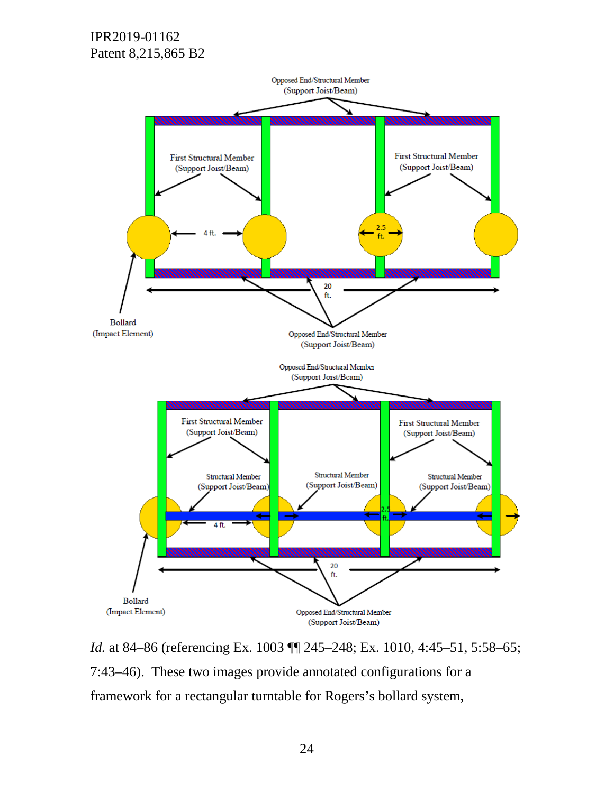

*Id.* at 84–86 (referencing Ex. 1003  $\P$  245–248; Ex. 1010, 4:45–51, 5:58–65; 7:43–46). These two images provide annotated configurations for a framework for a rectangular turntable for Rogers's bollard system,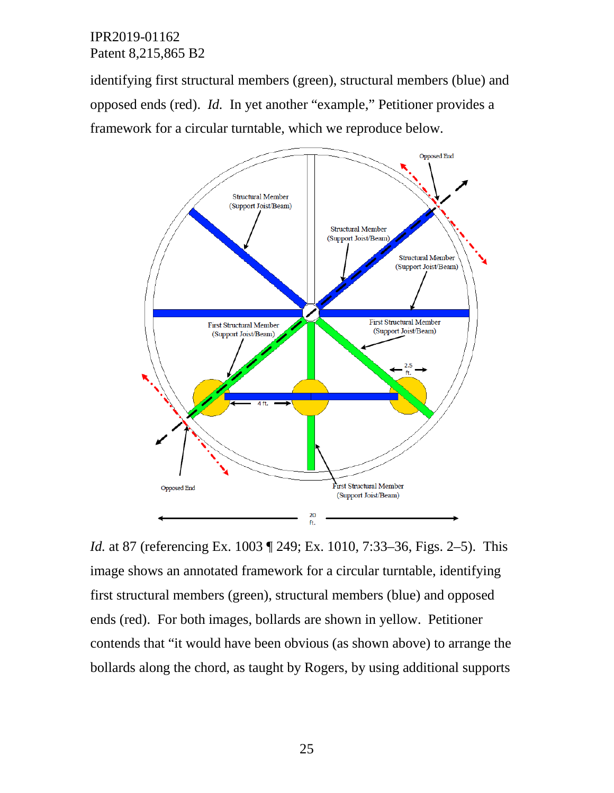identifying first structural members (green), structural members (blue) and opposed ends (red). *Id.* In yet another "example," Petitioner provides a framework for a circular turntable, which we reproduce below.



*Id.* at 87 (referencing Ex. 1003 ¶ 249; Ex. 1010, 7:33–36, Figs. 2–5). This image shows an annotated framework for a circular turntable, identifying first structural members (green), structural members (blue) and opposed ends (red). For both images, bollards are shown in yellow. Petitioner contends that "it would have been obvious (as shown above) to arrange the bollards along the chord, as taught by Rogers, by using additional supports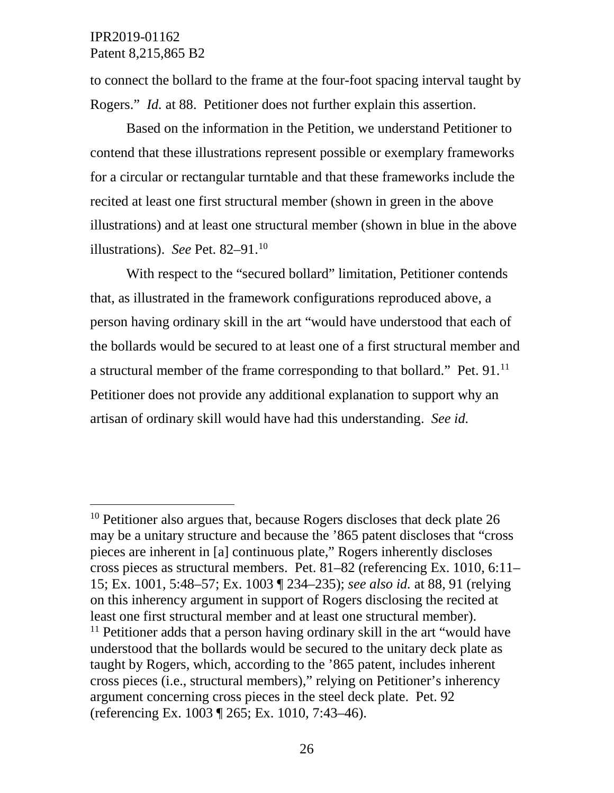to connect the bollard to the frame at the four-foot spacing interval taught by Rogers." *Id.* at 88. Petitioner does not further explain this assertion.

Based on the information in the Petition, we understand Petitioner to contend that these illustrations represent possible or exemplary frameworks for a circular or rectangular turntable and that these frameworks include the recited at least one first structural member (shown in green in the above illustrations) and at least one structural member (shown in blue in the above illustrations). *See* Pet. 82–91.[10](#page-25-0)

With respect to the "secured bollard" limitation, Petitioner contends that, as illustrated in the framework configurations reproduced above, a person having ordinary skill in the art "would have understood that each of the bollards would be secured to at least one of a first structural member and a structural member of the frame corresponding to that bollard." Pet. 91.<sup>[11](#page-25-1)</sup> Petitioner does not provide any additional explanation to support why an artisan of ordinary skill would have had this understanding. *See id.*

<span id="page-25-1"></span><span id="page-25-0"></span><sup>&</sup>lt;sup>10</sup> Petitioner also argues that, because Rogers discloses that deck plate 26 may be a unitary structure and because the '865 patent discloses that "cross pieces are inherent in [a] continuous plate," Rogers inherently discloses cross pieces as structural members. Pet. 81–82 (referencing Ex. 1010, 6:11– 15; Ex. 1001, 5:48–57; Ex. 1003 ¶ 234–235); *see also id.* at 88, 91 (relying on this inherency argument in support of Rogers disclosing the recited at least one first structural member and at least one structural member). <sup>11</sup> Petitioner adds that a person having ordinary skill in the art "would have understood that the bollards would be secured to the unitary deck plate as taught by Rogers, which, according to the '865 patent, includes inherent cross pieces (i.e., structural members)," relying on Petitioner's inherency argument concerning cross pieces in the steel deck plate. Pet. 92 (referencing Ex. 1003 ¶ 265; Ex. 1010, 7:43–46).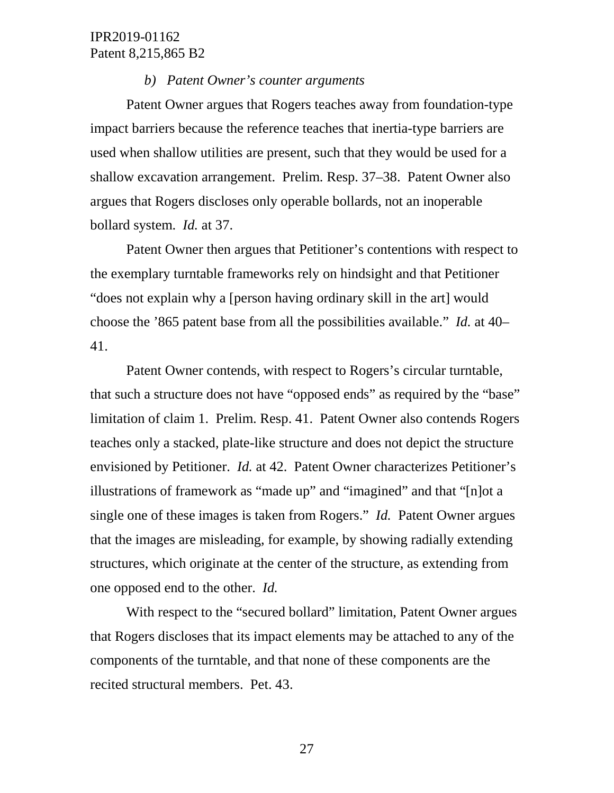#### *b) Patent Owner's counter arguments*

Patent Owner argues that Rogers teaches away from foundation-type impact barriers because the reference teaches that inertia-type barriers are used when shallow utilities are present, such that they would be used for a shallow excavation arrangement. Prelim. Resp. 37–38. Patent Owner also argues that Rogers discloses only operable bollards, not an inoperable bollard system. *Id.* at 37.

Patent Owner then argues that Petitioner's contentions with respect to the exemplary turntable frameworks rely on hindsight and that Petitioner "does not explain why a [person having ordinary skill in the art] would choose the '865 patent base from all the possibilities available." *Id.* at 40– 41.

Patent Owner contends, with respect to Rogers's circular turntable, that such a structure does not have "opposed ends" as required by the "base" limitation of claim 1. Prelim. Resp. 41. Patent Owner also contends Rogers teaches only a stacked, plate-like structure and does not depict the structure envisioned by Petitioner. *Id.* at 42. Patent Owner characterizes Petitioner's illustrations of framework as "made up" and "imagined" and that "[n]ot a single one of these images is taken from Rogers." *Id.* Patent Owner argues that the images are misleading, for example, by showing radially extending structures, which originate at the center of the structure, as extending from one opposed end to the other. *Id.*

With respect to the "secured bollard" limitation, Patent Owner argues that Rogers discloses that its impact elements may be attached to any of the components of the turntable, and that none of these components are the recited structural members. Pet. 43.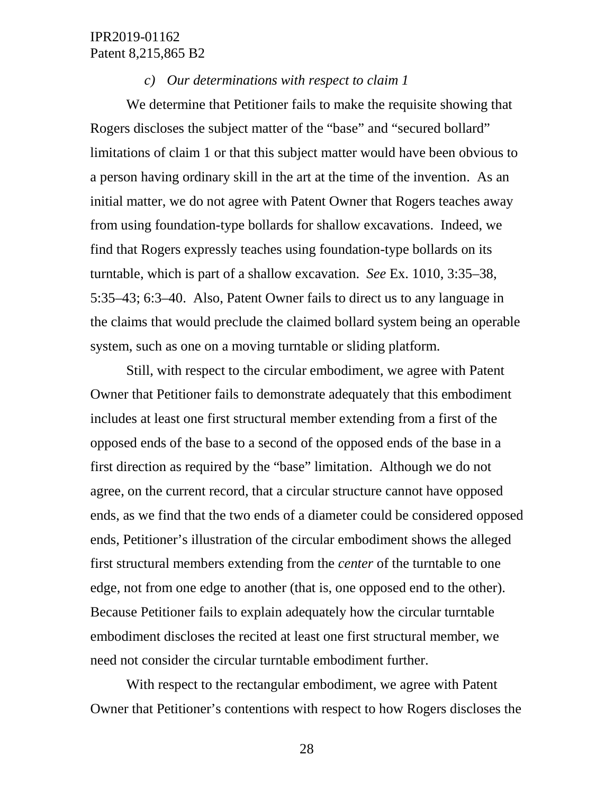#### *c) Our determinations with respect to claim 1*

We determine that Petitioner fails to make the requisite showing that Rogers discloses the subject matter of the "base" and "secured bollard" limitations of claim 1 or that this subject matter would have been obvious to a person having ordinary skill in the art at the time of the invention. As an initial matter, we do not agree with Patent Owner that Rogers teaches away from using foundation-type bollards for shallow excavations. Indeed, we find that Rogers expressly teaches using foundation-type bollards on its turntable, which is part of a shallow excavation. *See* Ex. 1010, 3:35–38, 5:35–43; 6:3–40. Also, Patent Owner fails to direct us to any language in the claims that would preclude the claimed bollard system being an operable system, such as one on a moving turntable or sliding platform.

Still, with respect to the circular embodiment, we agree with Patent Owner that Petitioner fails to demonstrate adequately that this embodiment includes at least one first structural member extending from a first of the opposed ends of the base to a second of the opposed ends of the base in a first direction as required by the "base" limitation. Although we do not agree, on the current record, that a circular structure cannot have opposed ends, as we find that the two ends of a diameter could be considered opposed ends, Petitioner's illustration of the circular embodiment shows the alleged first structural members extending from the *center* of the turntable to one edge, not from one edge to another (that is, one opposed end to the other). Because Petitioner fails to explain adequately how the circular turntable embodiment discloses the recited at least one first structural member, we need not consider the circular turntable embodiment further.

With respect to the rectangular embodiment, we agree with Patent Owner that Petitioner's contentions with respect to how Rogers discloses the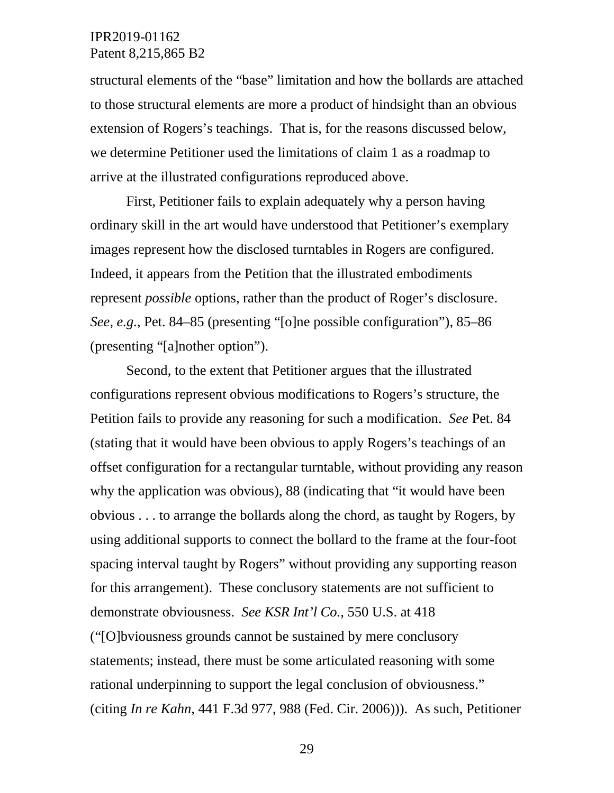structural elements of the "base" limitation and how the bollards are attached to those structural elements are more a product of hindsight than an obvious extension of Rogers's teachings. That is, for the reasons discussed below, we determine Petitioner used the limitations of claim 1 as a roadmap to arrive at the illustrated configurations reproduced above.

First, Petitioner fails to explain adequately why a person having ordinary skill in the art would have understood that Petitioner's exemplary images represent how the disclosed turntables in Rogers are configured. Indeed, it appears from the Petition that the illustrated embodiments represent *possible* options, rather than the product of Roger's disclosure. *See, e.g.*, Pet. 84–85 (presenting "[o]ne possible configuration"), 85–86 (presenting "[a]nother option").

Second, to the extent that Petitioner argues that the illustrated configurations represent obvious modifications to Rogers's structure, the Petition fails to provide any reasoning for such a modification. *See* Pet. 84 (stating that it would have been obvious to apply Rogers's teachings of an offset configuration for a rectangular turntable, without providing any reason why the application was obvious), 88 (indicating that "it would have been obvious . . . to arrange the bollards along the chord, as taught by Rogers, by using additional supports to connect the bollard to the frame at the four-foot spacing interval taught by Rogers" without providing any supporting reason for this arrangement). These conclusory statements are not sufficient to demonstrate obviousness. *See KSR Int'l Co.*, 550 U.S. at 418 ("[O]bviousness grounds cannot be sustained by mere conclusory statements; instead, there must be some articulated reasoning with some rational underpinning to support the legal conclusion of obviousness." (citing *In re Kahn*, 441 F.3d 977, 988 (Fed. Cir. 2006))). As such, Petitioner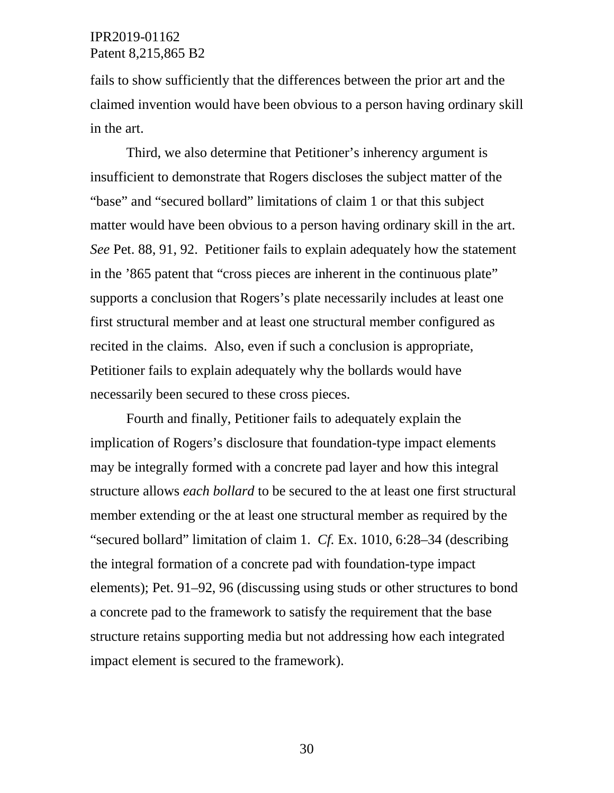fails to show sufficiently that the differences between the prior art and the claimed invention would have been obvious to a person having ordinary skill in the art.

Third, we also determine that Petitioner's inherency argument is insufficient to demonstrate that Rogers discloses the subject matter of the "base" and "secured bollard" limitations of claim 1 or that this subject matter would have been obvious to a person having ordinary skill in the art. *See* Pet. 88, 91, 92. Petitioner fails to explain adequately how the statement in the '865 patent that "cross pieces are inherent in the continuous plate" supports a conclusion that Rogers's plate necessarily includes at least one first structural member and at least one structural member configured as recited in the claims. Also, even if such a conclusion is appropriate, Petitioner fails to explain adequately why the bollards would have necessarily been secured to these cross pieces.

Fourth and finally, Petitioner fails to adequately explain the implication of Rogers's disclosure that foundation-type impact elements may be integrally formed with a concrete pad layer and how this integral structure allows *each bollard* to be secured to the at least one first structural member extending or the at least one structural member as required by the "secured bollard" limitation of claim 1. *Cf.* Ex. 1010, 6:28–34 (describing the integral formation of a concrete pad with foundation-type impact elements); Pet. 91–92, 96 (discussing using studs or other structures to bond a concrete pad to the framework to satisfy the requirement that the base structure retains supporting media but not addressing how each integrated impact element is secured to the framework).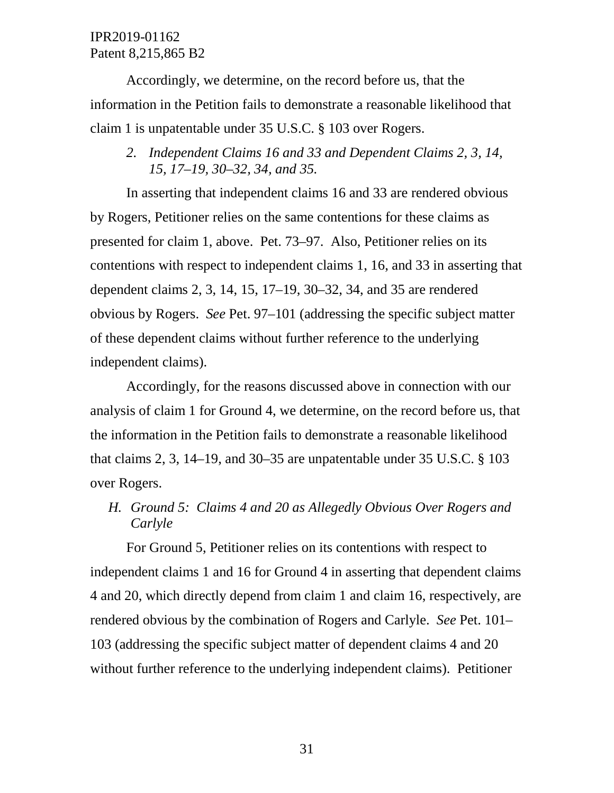Accordingly, we determine, on the record before us, that the information in the Petition fails to demonstrate a reasonable likelihood that claim 1 is unpatentable under 35 U.S.C. § 103 over Rogers.

*2. Independent Claims 16 and 33 and Dependent Claims 2, 3, 14, 15, 17–19, 30–32, 34, and 35.* 

In asserting that independent claims 16 and 33 are rendered obvious by Rogers, Petitioner relies on the same contentions for these claims as presented for claim 1, above. Pet. 73–97. Also, Petitioner relies on its contentions with respect to independent claims 1, 16, and 33 in asserting that dependent claims 2, 3, 14, 15, 17–19, 30–32, 34, and 35 are rendered obvious by Rogers. *See* Pet. 97–101 (addressing the specific subject matter of these dependent claims without further reference to the underlying independent claims).

Accordingly, for the reasons discussed above in connection with our analysis of claim 1 for Ground 4, we determine, on the record before us, that the information in the Petition fails to demonstrate a reasonable likelihood that claims 2, 3, 14–19, and 30–35 are unpatentable under  $35 \text{ U.S.C.}$  §  $103$ over Rogers.

*H. Ground 5: Claims 4 and 20 as Allegedly Obvious Over Rogers and Carlyle*

For Ground 5, Petitioner relies on its contentions with respect to independent claims 1 and 16 for Ground 4 in asserting that dependent claims 4 and 20, which directly depend from claim 1 and claim 16, respectively, are rendered obvious by the combination of Rogers and Carlyle. *See* Pet. 101– 103 (addressing the specific subject matter of dependent claims 4 and 20 without further reference to the underlying independent claims). Petitioner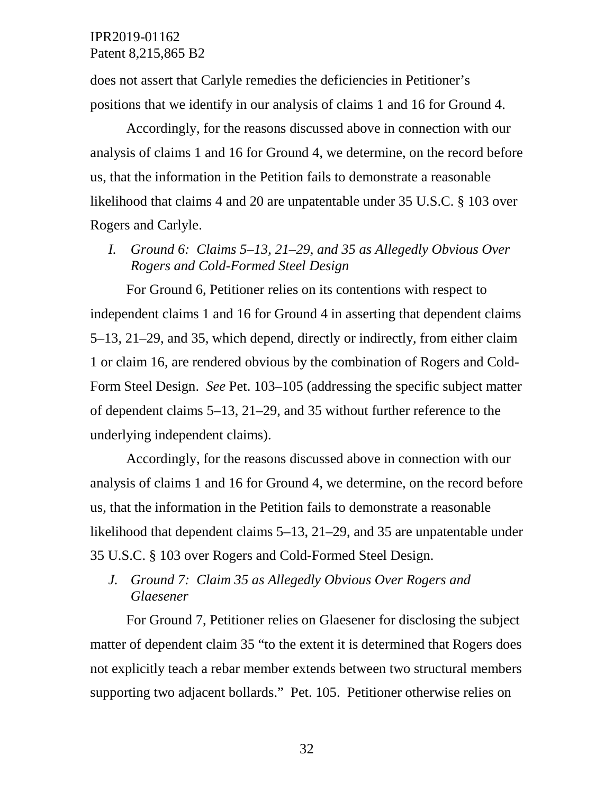does not assert that Carlyle remedies the deficiencies in Petitioner's positions that we identify in our analysis of claims 1 and 16 for Ground 4.

Accordingly, for the reasons discussed above in connection with our analysis of claims 1 and 16 for Ground 4, we determine, on the record before us, that the information in the Petition fails to demonstrate a reasonable likelihood that claims 4 and 20 are unpatentable under 35 U.S.C. § 103 over Rogers and Carlyle.

*I. Ground 6: Claims 5–13, 21–29, and 35 as Allegedly Obvious Over Rogers and Cold-Formed Steel Design*

For Ground 6, Petitioner relies on its contentions with respect to independent claims 1 and 16 for Ground 4 in asserting that dependent claims 5–13, 21–29, and 35, which depend, directly or indirectly, from either claim 1 or claim 16, are rendered obvious by the combination of Rogers and Cold-Form Steel Design. *See* Pet. 103–105 (addressing the specific subject matter of dependent claims 5–13, 21–29, and 35 without further reference to the underlying independent claims).

Accordingly, for the reasons discussed above in connection with our analysis of claims 1 and 16 for Ground 4, we determine, on the record before us, that the information in the Petition fails to demonstrate a reasonable likelihood that dependent claims 5–13, 21–29, and 35 are unpatentable under 35 U.S.C. § 103 over Rogers and Cold-Formed Steel Design.

*J. Ground 7: Claim 35 as Allegedly Obvious Over Rogers and Glaesener*

For Ground 7, Petitioner relies on Glaesener for disclosing the subject matter of dependent claim 35 "to the extent it is determined that Rogers does not explicitly teach a rebar member extends between two structural members supporting two adjacent bollards." Pet. 105. Petitioner otherwise relies on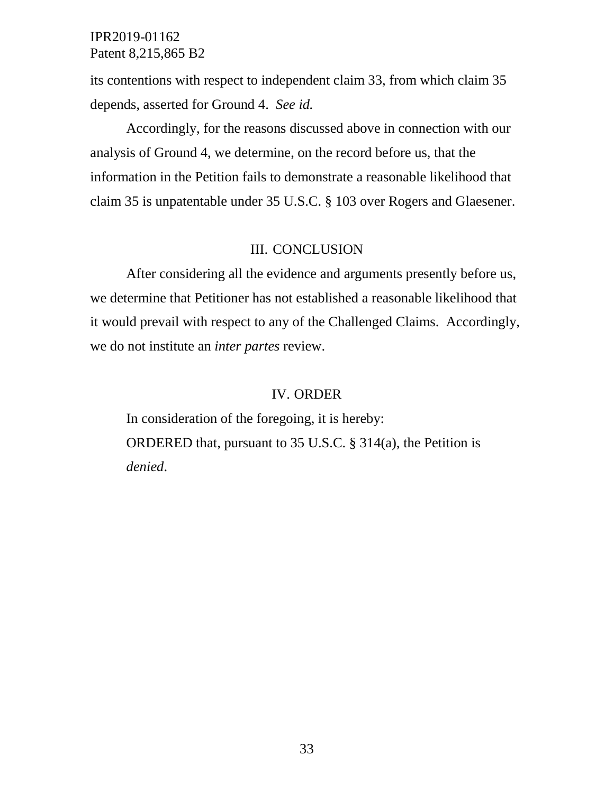its contentions with respect to independent claim 33, from which claim 35 depends, asserted for Ground 4. *See id.*

Accordingly, for the reasons discussed above in connection with our analysis of Ground 4, we determine, on the record before us, that the information in the Petition fails to demonstrate a reasonable likelihood that claim 35 is unpatentable under 35 U.S.C. § 103 over Rogers and Glaesener.

### III. CONCLUSION

After considering all the evidence and arguments presently before us, we determine that Petitioner has not established a reasonable likelihood that it would prevail with respect to any of the Challenged Claims. Accordingly, we do not institute an *inter partes* review.

### IV. ORDER

In consideration of the foregoing, it is hereby: ORDERED that, pursuant to 35 U.S.C. § 314(a), the Petition is *denied*.